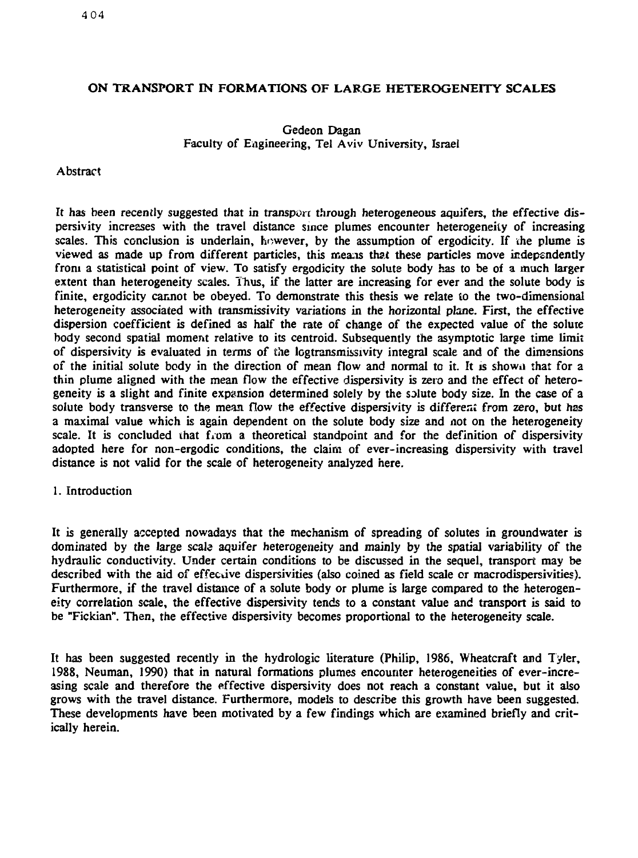# **ON TRANSPORT IN FORMATIONS OF** LARGE **HETEROGENEITY SCALES**

# Gedeon Dagan Faculty of Engineering, Tel Aviv University, Israel

# Abstract

It has been recently suggested that in transport through heterogeneous aquifers, the effective dispersivity increases with the travel distance since plumes encounter heterogeneity of increasing scales. This conclusion is underlain,  $h \circ w$  ever, by the assumption of ergodicity. If the plume is viewed as made up from different particles, this means that these particles move independently from a statistical point of view. To satisfy ergodicity the solute body has to be of a much larger extent than heterogeneity scales. Thus, if the latter are increasing for ever and the solute body is finite, ergodicity cannot be obeyed. To demonstrate this thesis we relate to the two-dimensional heterogeneity associated with transmissivity variations in the horizontal plane. First, the effective dispersion coefficient is defined as half the rate of change of the expected value of the solute body second spatial moment relative to its centroid. Subsequently the asymptotic large time limit of dispersivity is evaluated in terms of the logtransmissivity integral scale and of the dimensions of the initial solute body in the direction of mean flow and normal to it. It is showu that for a thin plume aligned with the mean flow the effective dispersivity is zero and the effect of heterogeneity is a slight and finite expansion determined solely by the solute body size. In the case of a solute body transverse to the mean flow the effective dispersivity is different from zero, but has a maximal value which is again dependent on the solute body size and not on the heterogeneity scale. It is concluded that from a theoretical standpoint and for the definition of dispersivity adopted here for non-ergodic conditions, the claim of ever-increasing dispersivity with travel distance is not valid for the scale of heterogeneity analyzed here.

# 1. Introduction

It is generally accepted nowadays that the mechanism of spreading of solutes in groundwater is dominated by *the large* scale aquifer heterogeneity and mainly by the spatial variability of the hydraulic conductivity. Under certain conditions to be discussed in the sequel, transport may be described with the aid of effective dispersivities (also coined as field scale or macrodispersivities). Furthermore, if the travel distance of a solute body or plume is large compared to the heterogeneity correlation scale, the effective dispersivity tends to a constant value and transport is said to be "Fickian". Then, the effective dispersivity becomes proportional to the heterogeneity scale.

It has been suggested recently in the hydrologic literature (Philip, 1986, Wheatcraft and Tyler, 1988, Neuman, 1990) that in natural formations plumes encounter heterogeneities of ever-increasing scale and therefore the effective dispersivity does not reach a constant value, but it also grows with the travel distance. Furthermore, models to describe this growth have been suggested. These developments have been motivated by a few findings which are examined briefly and critically herein.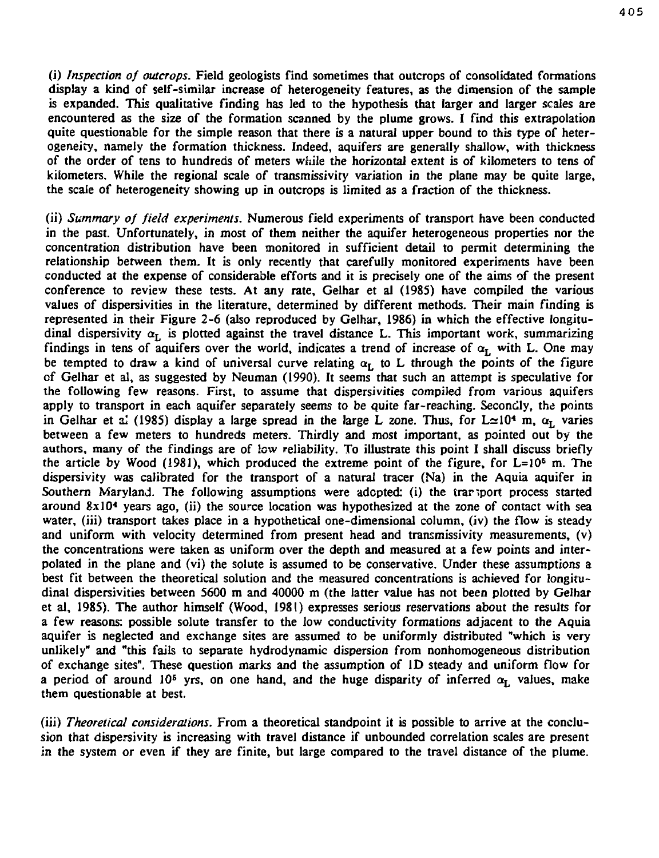(i) *Inspection of outcrops.* Field geologists find sometimes that outcrops of consolidated formations display a kind of self-similar increase of heterogeneity features, as the dimension of the sample is expanded. This qualitative finding has led to the hypothesis that larger and larger scales are encountered as the size of the formation scanned by the plume grows. I find this extrapolation quite questionable for the simple reason that there is a natural upper bound to this type of heterogeneity, namely the formation thickness. Indeed, aquifers are generally shallow, with thickness of the order of tens to hundreds of meters while the horizontal extent is of kilometers to tens of kilometers. While the regional scale of transmissivity variation in the plane may be quite large, the scale of heterogeneity showing up in outcrops is limited as a fraction of the thickness.

(ii) *Summary of field experiments.* Numerous field experiments of transport have been conducted in the past. Unfortunately, in most of them neither the aquifer heterogeneous properties nor the concentration distribution have been monitored in sufficient detail to permit determining the relationship between them. It is only recently that carefully monitored experiments have been conducted at the expense of considerable efforts and it is precisely one of the aims of the present conference to review these tests. At any rate, Gelhar et al (1985) have compiled the various values of dispersivities in the literature, determined by different methods. Their main finding is represented in their Figure 2-6 (also reproduced by Gelhar, 1986) in which the effective longitudinal dispersivity  $\alpha_{\text{L}}$  is plotted against the travel distance L. This important work, summarizing findings in tens of aquifers over the world, indicates a trend of increase of  $\alpha_L$  with L. One may be tempted to draw a kind of universal curve relating  $\alpha_L$  to L through the points of the figure cf Gelhar et al, as suggested by Neuman (1990). It seems that such an attempt is speculative for the following few reasons. First, to assume that dispersivities compiled from various aquifers apply to transport in each aquifer separately seems to be quite far-reaching. Secondly, the points in Gelhar et al (1985) display a large spread in the large L zone. Thus, for  $L \approx 10^4$  m,  $\alpha_r$  varies between a few meters to hundreds meters. Thirdly and most important, as pointed out by the authors, many of the findings are *of low* reliability. To illustrate this point I shall discuss briefly the article by Wood (1981), which produced the extreme point of the figure, for L=10<sup>s</sup> m. The dispersivity was calibrated for the transport of a natural tracer (Na) in the Aquia aquifer in Southern Maryland. The following assumptions were adopted: (i) the transport process started around  $8x10<sup>4</sup>$  years ago, (ii) the source location was hypothesized at the zone of contact with sea water, (iii) transport takes place in a hypothetical one-dimensional column, (iv) the flow is steady and uniform with velocity determined from present head and transmissivity measurements, (v) the concentrations were taken as uniform over the depth and measured at a few points and interpolated in the plane and (vi) the solute is assumed to be conservative. Under these assumptions a best fit between the theoretical solution and the measured concentrations is achieved for longitudinal dispersivities between 5600 m and 40000 m (the latter value has not been plotted by Gelhar et al, 1985). The author himself (Wood, 1981) expresses serious reservations about the results for a few reasons: possible solute transfer to the low conductivity formations adjacent to the Aquia aquifer is neglected and exchange sites are assumed to be uniformly distributed "which is very unlikely" and "this fails to separate hydrodynamic dispersion from nonhomogeneous distribution of exchange sites". These question marks and the assumption of ID steady and uniform flow for or exchange sites. I nese yrs, on one hand, and the huge disparity of inferred *aL* values, make a period of around TV-

(iii) *Theoretical considerations.* From a theoretical standpoint it is possible to arrive at the conclusion that dispersivity is increasing with travel distance if unbounded correlation scales are present in the system or even if they are finite, but large compared to the travel distance of the plume.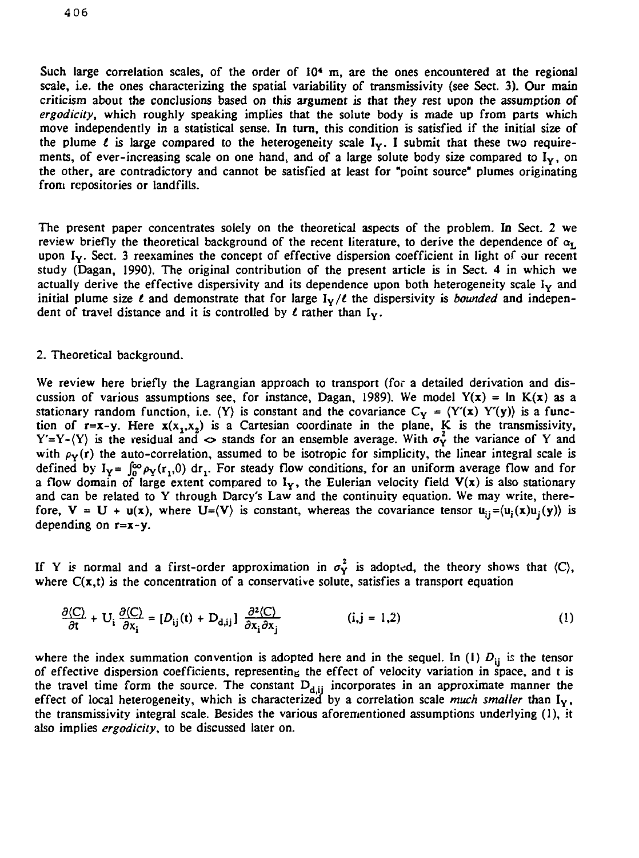Such large correlation scales, of the order of 10<sup>4</sup> m, are the ones encountered at the regional scale, i.e. the ones characterizing the spatial variability of transmissivity (see Sect. 3). Our main criticism about the conclusions based on this argument is that they rest upon the assumption of *ergodicity,* which roughly speaking implies that the solute body is made up from parts which move independently in a statistical sense. In turn, this condition is satisfied if the initial size of the plume  $\ell$  is large compared to the heterogeneity scale  $I_y$ . I submit that these two requirements, of ever-increasing scale on one hand, and of a large solute body size compared to  $I<sub>Y</sub>$ , on the other, are contradictory and cannot be satisfied at least for "point source" plumes originating from repositories or landfills.

The present paper concentrates solely on the theoretical aspects of the problem. In Sect. *2* we review briefly the theoretical background of the recent literature, to derive the dependence of  $\alpha_L$ upon  $I_Y$ . Sect. 3 reexamines the concept of effective dispersion coefficient in light of our recent study (Dagan, 1990). The original contribution of the present article is in Sect. 4 in which we actually derive the effective dispersivity and its dependence upon both heterogeneity scale  $I_v$  and initial plume size  $\ell$  and demonstrate that for large  $I_Y/\ell$  the dispersivity is *bounded* and independent of travel distance and it is controlled by  $\ell$  rather than  $I_Y$ .

# 2. Theoretical background.

We review here briefly the Lagrangian approach to transport (for a detailed derivation and discussion of various assumptions see, for instance, Dagan, 1989). We model  $Y(x) = \ln K(x)$  as a stationary random function, i.e.  $\langle Y \rangle$  is constant and the covariance  $C_Y = \langle Y'(x) Y'(y) \rangle$  is a function of  $r=x-y$ . Here  $x(x_1,x_2)$  is a Cartesian coordinate in the plane, K is the transmissivity, Y'=Y- $\langle Y \rangle$  is the residual and  $\langle Y \rangle$  stands for an ensemble average. With  $\sigma_Y^2$  the variance of Y and with  $\rho_Y(r)$  the auto-correlation, assumed to be isotropic for simplicity, the linear integral scale is defined by  $I_v = \int_0^{\infty} \rho_v(r, 0) dr$ . For steady flow conditions, for an uniform average flow and for a flow domain of large extent compared to  $I_Y$ , the Eulerian velocity field  $V(x)$  is also stationary and can be related to Y through Darcy's Law and the continuity equation. We may write, therefore,  $V = U + u(x)$ , where  $U = (V)$  is constant, whereas the covariance tensor  $u_{ij} = (u_j(x)u_j(y))$  is depending on **r=x-y.**

If Y is normal and a first-order approximation in  $\sigma_Y^2$  is adopted, the theory shows that  $\langle C \rangle$ , where  $C(x,t)$  is the concentration of a conservative solute, satisfies a transport equation

$$
\frac{\partial \langle C \rangle}{\partial t} + U_i \frac{\partial \langle C \rangle}{\partial x_i} = [D_{ij}(t) + D_{d,ij}] \frac{\partial^2 \langle C \rangle}{\partial x_i \partial x_j}
$$
 (i,j = 1,2) (1)

where the index summation convention is adopted here and in the sequel. In (1)  $D_{ij}$  is the tensor of effective dispersion coefficients, representing the effect of velocity variation in space, and t is the travel time form the source. The constant  $D_{d,ij}$  incorporates in an approximate manner the effect of local heterogeneity, which is characterized by a correlation scale *much smaller* than I<sub>Y</sub>, the transmissivity integral scale. Besides the various aforementioned assumptions underlying (1), it also implies *ergodicity,* to be discussed later on.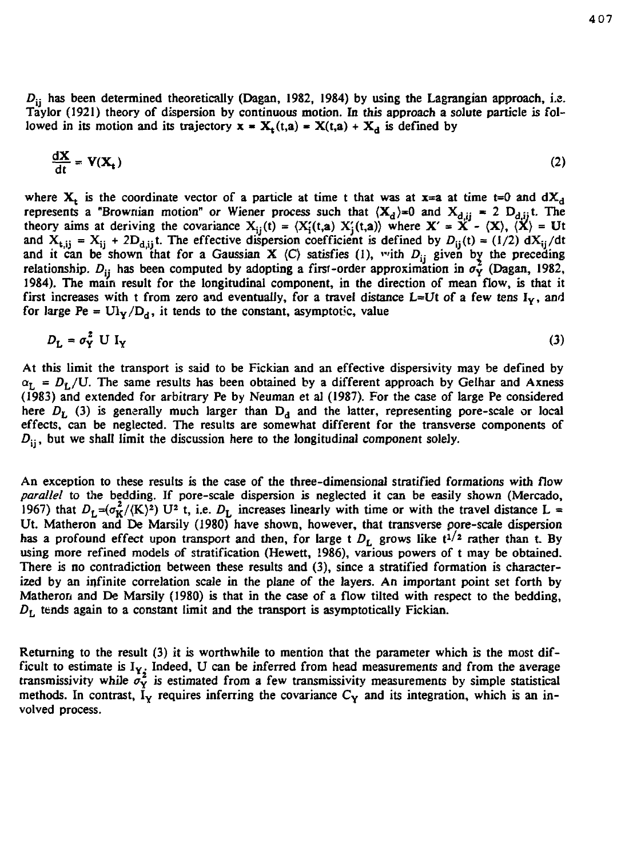*DVj* **has been determined theoretically (Dagan, 1982, 1984) by using the Lagrangian approach, i.e. Taylor (1921) theory of dispersion by continuous motion. In this approach a solute particle is fol**lowed in its motion and its trajectory  $x = X_t(t,a) = X(t,a) + X_d$  is defined by

$$
\frac{dX}{dt} = V(X_t) \tag{2}
$$

where  $X_t$  is the coordinate vector of a particle at time t that was at  $x=a$  at time  $t=0$  and  $dX_d$ **represents a "Brownian motion"** or Wiener process such that  $(X_d) = 0$  and  $X_{d,i} = 2 D_{d,i}$ ; The theory aims at deriving the covariance  $X_{i}(t) = \langle X'_{i}(t,a) | X'_{i}(t,a) \rangle$  where  $X' = X' - \langle X \rangle$ ,  $\langle X \rangle = Ut$ and  $X_{\text{t,i}} = X_{\text{i}} + 2D_{\text{d,i}}$ ; The effective dispersion coefficient is defined by  $D_{\text{i}}(\text{t}) = (1/2) dX_{\text{i}}/dt$ and it can be shown that for a Gaussian **X**  $\langle C \rangle$  satisfies (1), with  $D_{ii}$  given by the preceding **relationship.**  $D_{ii}$  has been computed by adopting a first-order approximation in  $\sigma_Y^2$  (Dagan, 1982, **1984). The main result for the longitudinal component, in the direction of mean flow, is that it first increases with t from zero and eventually, for a travel distance L=Ut** *of* **a few tens IY, and** for large Pe =  $\text{UI}_Y/\text{D}_d$ , it tends to the constant, asymptotic, value

$$
D_{\mathbf{L}} = \sigma_{\mathbf{Y}}^2 \mathbf{U} \mathbf{I}_{\mathbf{Y}} \tag{3}
$$

**At this limit the transport is said to be Fickian and an effective dispersivity may be defined by**  $\alpha_L = D_L/U$ . The same results has been obtained by a different approach by Gelhar and Axness **(1983) and extended for arbitrary Pe by Neuman et al (1987). For the case of large Pe considered** here  $D_h$  (3) is generally much larger than  $D_d$  and the latter, representing pore-scale or local **effects, can be neglected. The results are somewhat different for the transverse components of**  $D_{ii}$ , but we shall limit the discussion here to the longitudinal component solely.

**An exception to these results is the case of the three-dimensional stratified formations with flow** *parallel* **to the bedding. If pore-scale dispersion is neglected it can be easily shown (Mercado, 1967)** that  $D_L = (\sigma_K^2 / (K)^2)$  U<sup>2</sup> t, i.e.  $D_L$  increases linearly with time or with the travel distance L = **Ut. Matheron and De Marsily (1980) have shown, however, that transverse pore-scale dispersion** has a profound effect upon transport and then, for large t  $D_L$  grows like  $t^{1/2}$  rather than t. By **using more refined models of stratification (Hewett, 1986), various powers of t may be obtained. There is no contradiction between these results and (3), since a stratified formation is characterized by an infinite correlation scale in the plane of the layers. An important point set forth by Matheron and De Marsily (1980) is that in the case of a flow tilted with respect to the bedding,** *DL* **tends again to a constant limit and the transport is asymptotically Fickian.**

**Returning to the result (3) it is worthwhile to mention that the parameter which is the most difficult to estimate is IY. Indeed, U can be inferred from head measurements and from the average** transmissivity while  $\sigma_Y^2$  is estimated from a few transmissivity measurements by simple statistical methods. In contrast,  $I_Y$  requires inferring the covariance  $C_Y$  and its integration, which is an in**volved process.**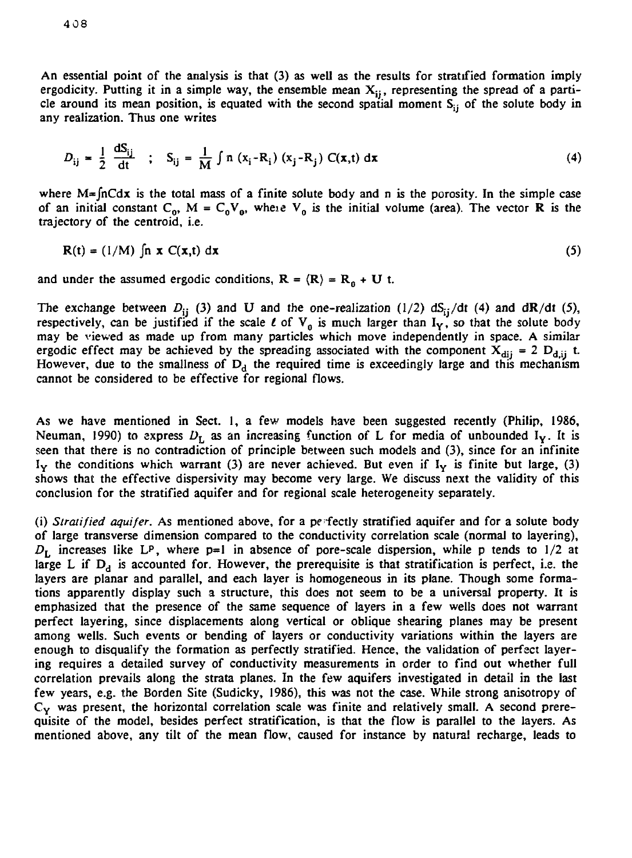An essential point of the analysis is that (3) as well as the results for stratified formation imply ergodicity. Putting it in a simple way, the ensemble mean  $X_{ii}$ , representing the spread of a particle around its mean position, is equated with the second spatial moment  $S_{ij}$  of the solute body in any realization. Thus one writes

$$
D_{ij} = \frac{1}{2} \frac{dS_{ij}}{dt} \quad ; \quad S_{ij} = \frac{1}{M} \int n (x_i - R_i) (x_j - R_j) C(x, t) dx \tag{4}
$$

where  $M = \int nC \, dx$  is the total mass of a finite solute body and n is the porosity. In the simple case of an initial constant  $C_0$ ,  $M = C_0V_0$ , where  $V_0$  is the initial volume (area). The vector **R** is the trajectory of the centroid, i.e.

$$
R(t) = (1/M) \int n \mathbf{x} C(\mathbf{x}, t) d\mathbf{x}
$$
 (5)

and under the assumed ergodic conditions,  $R = \langle R \rangle = R_0 + U$  t.

The exchange between  $D_{ij}$  (3) and U and the one-realization (1/2)  $dS_{ij}/dt$  (4) and  $dR/dt$  (5), respectively, can be justified if the scale  $\ell$  of  $V_0$  is much larger than  $I_Y$ , so that the solute body may be viewed as made up from many particles which move independently in space. A similar ergodic effect may be achieved by the spreading associated with the component  $X_{dij} = 2 D_{d,ij}$  t. However, due to the smallness of  $D_d$  the required time is exceedingly large and this mechanism cannot be considered to be effective for regional flows.

As we have mentioned in Sect. 1, a few models have been suggested recently (Philip, 1986, Neuman, 1990) to express  $D<sub>L</sub>$  as an increasing function of L for media of unbounded I<sub>V</sub>. It is seen that there is no contradiction of principle between such models and (3), since for an infinite  $I_Y$  the conditions which warrant (3) are never achieved. But even if  $I_Y$  is finite but large, (3) shows that the effective dispersivity may become very large. We discuss next the validity of this conclusion for the stratified aquifer and for regional scale heterogeneity separately.

(i) *Stratified aquifer.* As mentioned above, for a pe fectly stratified aquifer and for a solute body of large transverse dimension compared to the conductivity correlation scale (normal to layering),  $D_L$  increases like LP, where  $p=1$  in absence of pore-scale dispersion, while p tends to  $1/2$  at large L if  $D_d$  is accounted for. However, the prerequisite is that stratification is perfect, i.e. the layers are planar and parallel, and each layer is homogeneous in its plane. Though some formations apparently display such a structure, this does not seem to be a universal property. It is emphasized that the presence of the same sequence of layers in a few wells does not warrant perfect layering, since displacements along vertical or oblique shearing planes may be present among wells. Such events or bending of layers or conductivity variations within the layers are enough to disqualify the formation as perfectly stratified. Hence, the validation of perfect layering requires a detailed survey of conductivity measurements in order to find out whether full correlation prevails along the strata planes. In the few aquifers investigated in detail in the last few years, e.g. the Borden Site (Sudicky, 1986), this was not the case. While strong anisotropy of  $C_Y$  was present, the horizontal correlation scale was finite and relatively small. A second prerequisite of the model, besides perfect stratification, is that the flow is parallel to the layers. As mentioned above, any tilt of the mean flow, caused for instance by natural recharge, leads to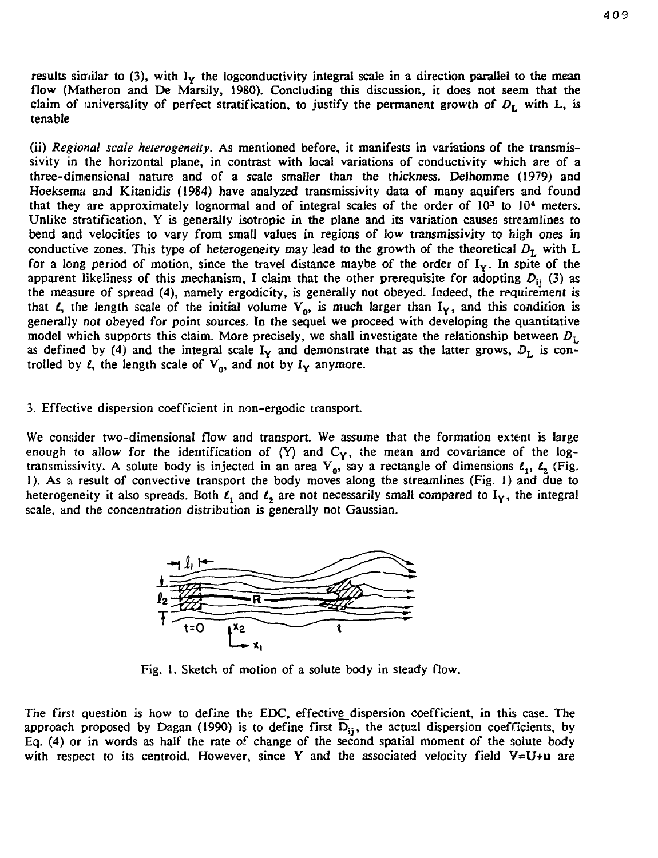results similar to  $(3)$ , with  $I_Y$  the logconductivity integral scale in a direction parallel to the mean flow (Matheron and De Marsily, 1980). Concluding this discussion, it does not seem that the claim of universality of perfect stratification, to justify the permanent growth *of DL* with L, is tenable

(ii) *Regional scale heterogeneity.* As mentioned before, it manifests in variations of the transmissivity in the horizontal plane, in contrast with local variations of conductivity which are of a three-dimensional nature and of a scale smaller than the thickness. Delhomme (1979) and Hoeksema and Kitanidis (1984) have analyzed transmissivity data of many aquifers and found that they are approximately lognormal and of integral scales of the order of 10<sup>3</sup> to 10<sup>4</sup> meters. Unlike stratification, Y is generally isotropic in the plane and its variation causes streamlines to bend and velocities to vary from small values in regions of low transmissivity *to* high ones in conductive zones. This type of heterogeneity may lead to the growth of the theoretical  $D<sub>L</sub>$  with L for a long period of motion, since the travel distance maybe of the order of I<sub>Y</sub>. In spite of the apparent likeliness of this mechanism, I claim that the other prerequisite for adopting  $D_{ij}$  (3) as the measure of spread (4), namely ergodicity, is generally not obeyed. Indeed, the requirement is that  $\ell$ , the length scale of the initial volume  $V_0$ , is much larger than  $I_V$ , and this condition is generally not obeyed for point sources. In the sequel we proceed with developing the quantitative model which supports this claim. More precisely, we shall investigate the relationship between  $D_L$ as defined by (4) and the integral scale  $I_Y$  and demonstrate that as the latter grows,  $D_L$  is controlled by  $\ell$ , the length scale of  $V_0$ , and not by  $I_Y$  anymore.

# 3. Effective dispersion coefficient in non-ergodic transport.

We consider two-dimensional flow and transport. We assume that the formation extent is large enough to allow for the identification of  $(Y)$  and  $C_Y$ , the mean and covariance of the logtransmissivity. A solute body is injected in an area  $V_0$ , say a rectangle of dimensions  $l_1$ ,  $l_2$  (Fig. 1). As a result of convective transport the body moves along the streamlines (Fig. 1) and due to heterogeneity it also spreads. Both  $l_1$  and  $l_2$  are not necessarily small compared to  $I_Y$ , the integral scale, and the concentration distribution is generally not Gaussian.



Fig. I. Sketch of motion of a solute body in steady flow.

The first question is how to define the EDC, effective dispersion coefficient, in this case. The approach proposed by Dagan (1990) is to define first  $\overline{D}_{ij}$ , the actual dispersion coefficients, by Eq. (4) or in words as half the rate of change of the second spatial moment of the solute body with respect to its centroid. However, since Y and the associated velocity field V=U+u are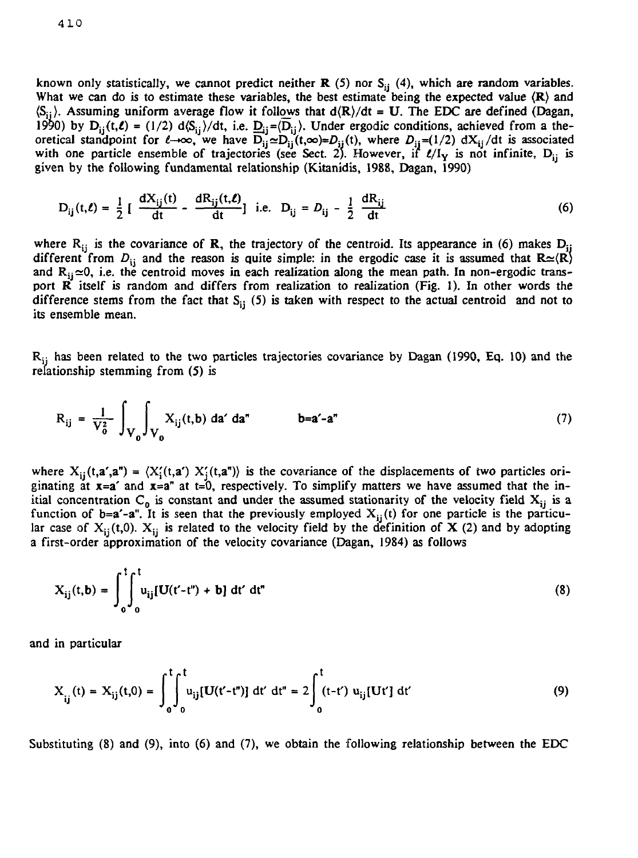known only statistically, we cannot predict neither **R** (5) nor S<sub>ii</sub> (4), which are random variables. What we can do is to estimate these variables, the best estimate being the expected value  $\langle \mathbf{R} \rangle$  and  $\langle S_{ij} \rangle$ . Assuming uniform average flow it follows that  $d(R)/dt = U$ . The EDC are defined (Dagan, 1990) by  $D_{ij}(t,\ell) = (1/2) d\langle S_{ij}\rangle/dt$ , i.e.  $D_{ij}=(\overline{D}_{ij})$ . Under ergodic conditions, achieved from a theoretical standpoint for  $\ell \to \infty$ , we have  $\overline{D}_{ii} \simeq D_{ii}$  (t, $\infty$ )= $D_{ii}$ (t), where  $D_{ii} = (1/2) dX_{ii}/dt$  is associated with one particle ensemble of trajectories (see Sect. 2). However, if  $\ell/\ell_y$  is not infinite, D<sub>ij</sub> is given by the following fundamental relationship (Kitanidis, 1988, Dagan, 1990)

$$
D_{ij}(t,\ell) = \frac{1}{2} \left[ \frac{dX_{ij}(t)}{dt} - \frac{dR_{ij}(t,\ell)}{dt} \right] \text{ i.e. } D_{ij} = D_{ij} - \frac{1}{2} \frac{dR_{ij}}{dt} \tag{6}
$$

where  $R_{ij}$  is the covariance of R, the trajectory of the centroid. Its appearance in (6) makes  $D_{ij}$ different from  $D_{ij}$  and the reason is quite simple: in the ergodic case it is assumed that  $\mathbb{R} \simeq \langle \mathbb{R} \rangle$ and  $R_{ij} \approx 0$ , i.e. the centroid moves in each realization along the mean path. In non-ergodic transport  $\vec{R}$  itself is random and differs from realization to realization (Fig. 1). In other words the difference stems from the fact that  $S_{ij}$  (5) is taken with respect to the actual centroid and not to its ensemble mean.

R<sub>ii</sub> has been related to the two particles trajectories covariance by Dagan (1990, Eq. 10) and the relationship stemming from (5) is

$$
R_{ij} = \frac{1}{V_0^2} \int_{V_0} \int_{V_0} X_{ij}(t, b) \, da' \, da'' \qquad b = a' - a'' \tag{7}
$$

where  $X_{ij}(t, a', a'') = \langle X_i'(t, a') | X_i'(t, a'') \rangle$  is the covariance of the displacements of two particles originating at  $x=a'$  and  $x=a''$  at t=0, respectively. To simplify matters we have assumed that the initial concentration  $C_0$  is constant and under the assumed stationarity of the velocity field  $X_{ij}$  is a function of b=a'-a". It is seen that the previously employed  $X_{i,j}(t)$  for one particle is the particular case of  $X_{ii}(t,0)$ .  $X_{ii}$  is related to the velocity field by the definition of X (2) and by adopting a first-order approximation of the velocity covariance (Dagan, 1984) as follows

$$
X_{ij}(t,b) = \int_0^t \int_0^t u_{ij}[U(t'-t'') + b] dt' dt''
$$
 (8)

and in particular

$$
X_{ij}(t) = X_{ij}(t,0) = \int_0^t \int_0^t u_{ij}[U(t'-t'')] dt' dt'' = 2 \int_0^t (t-t') u_{ij}[Ut'] dt'
$$
 (9)

Substituting (8) and (9), into (6) and (7), we obtain the following relationship between the EDC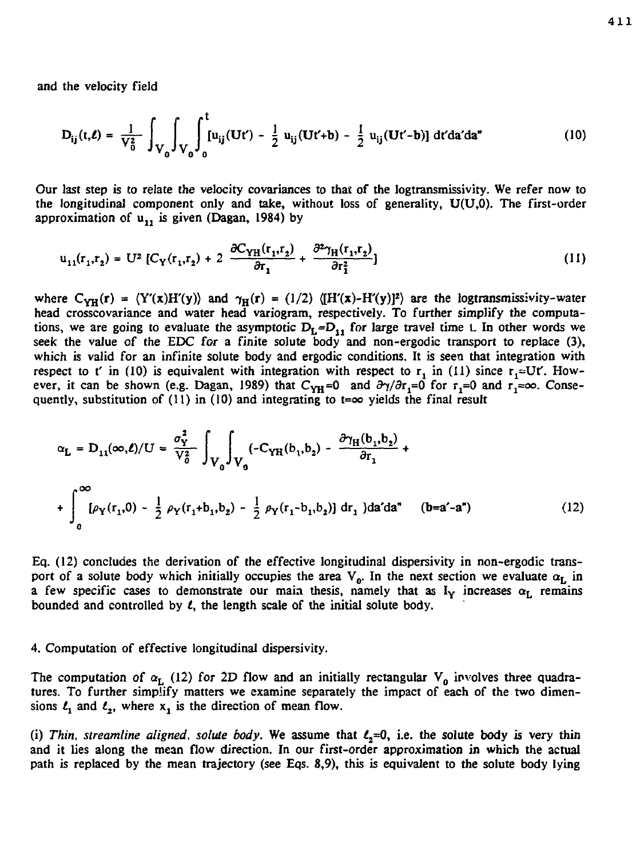and the velocity field

$$
D_{ij}(t,\ell) = \frac{1}{V_0^2} \int_{V_0} \int_{V_0} \int_0^t [u_{ij}(Ut') - \frac{1}{2} u_{ij}(Ut'+b) - \frac{1}{2} u_{ij}(Ut'-b)] dt'da'da''
$$
 (10)

Our last step is to relate the velocity covariances to that of the logtransmissivity. We refer now to the longitudinal component only and take, without loss of generality, U(U,0). The first-order approximation of  $u_1$ , is given (Dagan, 1984) by

$$
u_{11}(r_1, r_2) = U^2 \left[ C_Y(r_1, r_2) + 2 \frac{\partial C_{YH}(r_1, r_2)}{\partial r_1} + \frac{\partial^2 \gamma_H(r_1, r_2)}{\partial r_1^2} \right]
$$
 (11)

where  $C_{YH}(r) = \langle Y'(x)H'(y) \rangle$  and  $\gamma_H(r) = (1/2) \langle [H'(x)-H'(y)]^2 \rangle$  are the logtransmissivity-water head crosscovariance and water head variogram, respectively. To further simplify the computations, we are going to evaluate the asymptotic  $D_L=D_{11}$  for large travel time t. In other words we seek the value of the EDC for a finite solute body and non-ergodic transport to replace (3), which is valid for an infinite solute body and ergodic conditions. It is seen that integration with respect to t' in (10) is equivalent with integration with respect to  $r_1$  in (11) since  $r_1 \approx Ut'$ . However, it can be shown (e.g. Dagan, 1989) that  $C_{YH}=0$  and  $\partial \gamma/\partial r_1=0$  for  $r_1=0$  and  $r_1=\infty$ . Consequently, substitution of (11) in (10) and integrating to t= $\infty$  yields the final result

$$
\alpha_{\mathbf{L}} = \mathbf{D}_{11}(\infty, \ell)/\mathbf{U} = \frac{\sigma_{\mathbf{Y}}^2}{V_0^2} \int_{V_0} \int_{V_0} (-C_{\mathbf{Y}H}(b_1, b_2) - \frac{\partial \gamma_H(b_1, b_2)}{\partial r_1} + \int_{0}^{\infty} [\rho_{\mathbf{Y}}(r_1, 0) - \frac{1}{2} \rho_{\mathbf{Y}}(r_1 + b_1, b_2) - \frac{1}{2} \rho_{\mathbf{Y}}(r_1 - b_1, b_2)] dr_1 \, d\mathbf{a}' d\mathbf{a}'' \quad (b = a' - a'')
$$
 (12)

Eq. (12) concludes the derivation of the effective longitudinal dispersivity in non-ergodic transport of a solute body which initially occupies the area  $V_0$ . In the next section we evaluate  $\alpha_L$  in a few specific cases to demonstrate our main thesis, namely that as  $I_Y$  increases  $\alpha_L$  remains bounded and controlled by *t,* the length scale of the initial solute body.

#### 4. Computation of effective longitudinal dispersivity.

The computation of  $\alpha_L$  (12) for 2D flow and an initially rectangular  $V_0$  involves three quadratures. To further simplify matters we examine separately the impact of each of the two dimensions  $l_1$  and  $l_2$ , where x, is the direction of mean flow.

(i) Thin, streamline aligned, solute body. We assume that  $\ell_z = 0$ , i.e. the solute body is very thin and it lies along the mean flow direction. In our first-order approximation in which the actual path is replaced by the mean trajectory (see Eqs. 8,9), this is equivalent to the solute body lying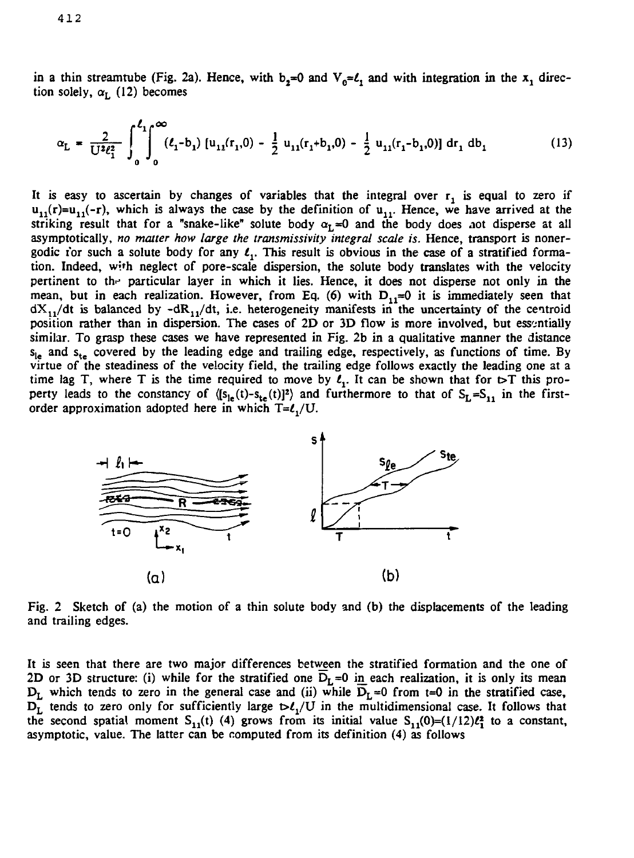in a thin streamtube (Fig. 2a). Hence, with  $b_2=0$  and  $V_0=0$  and with integration in the  $x_1$  direction solely,  $\alpha_{\text{L}}$  (12) becomes

$$
\alpha_{\rm L} = \frac{2}{U^2 \ell_1^2} \int_0^{\ell_1} \int_0^{\infty} (\ell_1 - b_1) \left[ u_{11}(r_1, 0) - \frac{1}{2} u_{11}(r_1 + b_1, 0) - \frac{1}{2} u_{11}(r_1 - b_1, 0) \right] dr_1 \, db_1 \tag{13}
$$

It is easy to ascertain by changes of variables that the integral over  $r_1$  is equal to zero if  $u_{11}(r)=u_{11}(-r)$ , which is always the case by the definition of  $u_{11}$ . Hence, we have arrived at the striking result that for a "snake-like" solute body  $\alpha_L=0$  and the body does not disperse at all asymptotically, *no matter how large the transmissivity integral scale is.* Hence, transport is nonergodic i'or such a solute body for any  $\ell_1$ . This result is obvious in the case of a stratified formation. Indeed, wjth neglect of pore-scale dispersion, the solute body translates with the velocity pertinent to the particular layer in which it lies. Hence, it does not disperse not only in the mean, but in each realization. However, from Eq. (6) with  $D_{1,1}=0$  it is immediately seen that  $dX_{11}/dt$  is balanced by  $-dR_{11}/dt$ , i.e. heterogeneity manifests in the uncertainty of the centroid position rather than in dispersion. The cases of 2D or 3D flow is more involved, but essentially similar. To grasp these cases we have represented in Fig. 2b in a qualitative manner the distance  $s_{1a}$  and  $s_{1a}$  covered by the leading edge and trailing edge, respectively, as functions of time. By virtue of the steadiness of the velocity field, the trailing edge follows exactly the leading one at a time lag T, where T is the time required to move by  $\ell_1$ . It can be shown that for  $\triangleright$ T this property leads to the constancy of  $(|s_{1}(t)-s_{2}(t)|^2)$  and furthermore to that of  $S_t = S_t$ , in the firstorder approximation adopted here in which  $T=$ *z*,/*U*.



Fig. 2 Sketch of (a) the motion of a thin solute body and (b) the displacements of the leading and trailing edges.

It is seen that there are two major differences between the stratified formation and the one of 2D or 3D structure: (i) while for the stratified one  $D_L=0$  in each realization, it is only its mean  $D_L$  which tends to zero in the general case and (ii) while  $\overline{D}_L=0$  from t=0 in the stratified case,  $D_L^{\sim}$  tends to zero only for sufficiently large  $D_L^{\prime}/U$  in the multidimensional case. It follows that the second spatial moment  $S_{1,1}(t)$  (4) grows from its initial value  $S_{1,1}(0)=(1/12)\ell_1^2$  to a constant, asymptotic, value. The latter can be computed from its definition (4) as follows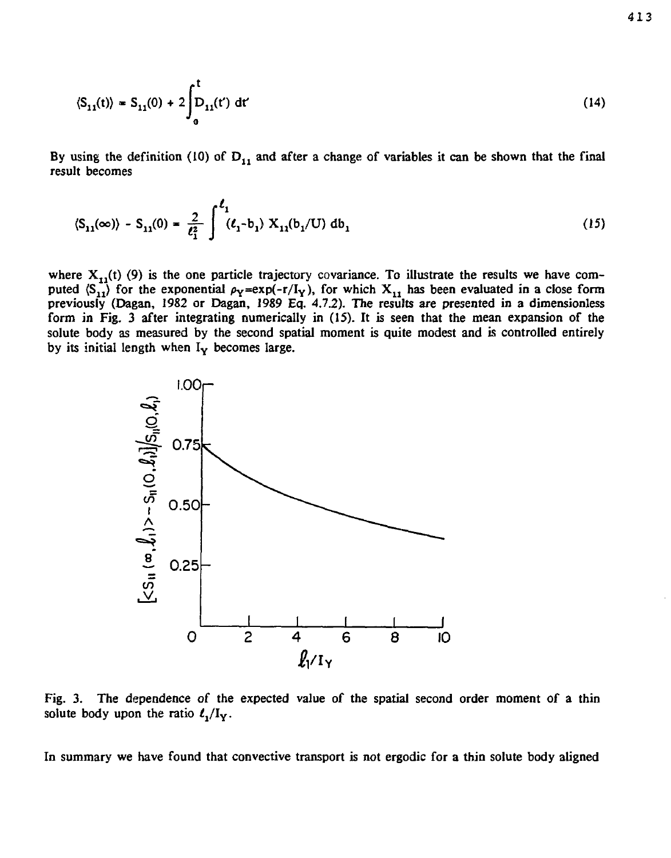$$
\langle S_{11}(t) \rangle = S_{11}(0) + 2 \int_0^t D_{11}(t') dt'
$$
 (14)

By using the definition (10) of  $D_{11}$  and after a change of variables it can be shown that the final result becomes

$$
\langle S_{11}(\infty) \rangle - S_{11}(0) = \frac{2}{\ell_1^2} \int_{-\ell_1}^{\ell_1} (\ell_1 - b_1) X_{11}(b_1/U) db_1 \tag{15}
$$

where  $X_{11}(t)$  (9) is the one particle trajectory covariance. To illustrate the results we have computed  $\langle S_{11} \rangle$  for the exponential  $\rho_Y = exp(-r/I_Y)$ , for which  $X_{11}$  has been evaluated in a close form previously (Dagan, 1982 or Dagan, 1989 Eq. 4.7.2). The results are presented in a dimensionless form in Fig. 3 after integrating numerically in (15). It is seen that the mean expansion of the solute body as measured by the second spatial moment is quite modest and is controlled entirely by its initial length when  $I_v$  becomes large.



Fig. 3. The dependence of the expected value of the spatial second order moment of a thin solute body upon the ratio  $\ell_1/I_Y$ .

In summary we have found that convective transport is not ergodic for a thin solute body aligned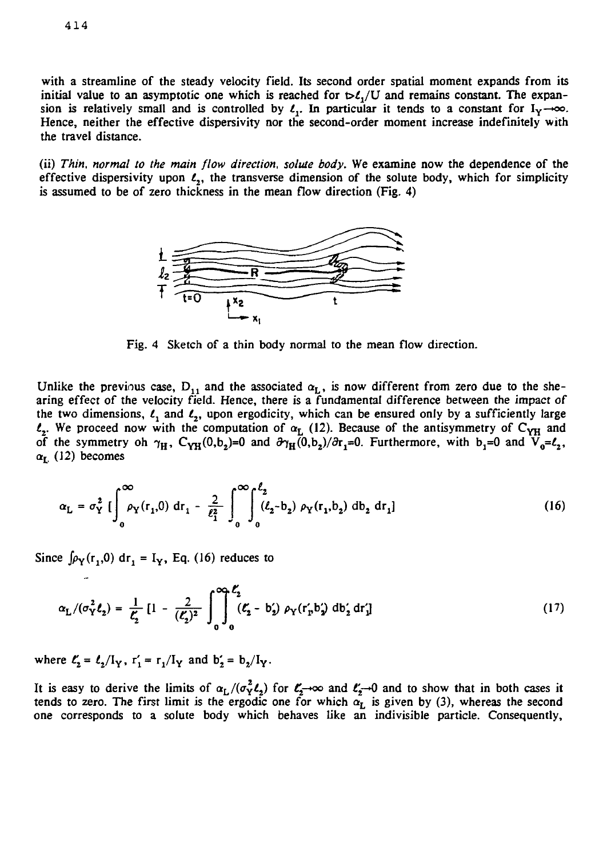4 1 4

with a streamline of the steady velocity field. Its second order spatial moment expands from its initial value to an asymptotic one which is reached for  $\nu \mathcal{L}/U$  and remains constant. The expansion is relatively small and is controlled by  $\ell_1$ . In particular it tends to a constant for  $I_y \rightarrow \infty$ . Hence, neither the effective dispersivity nor the second-order moment increase indefinitely with the travel distance.

(ii) *Thin, normal to the main flow direction, solute body.* We examine now the dependence of the effective dispersivity upon  $\ell$ , the transverse dimension of the solute body, which for simplicity is assumed to be of zero thickness in the mean flow direction (Fig. 4)



Fig. 4 Sketch of a thin body normal to the mean flow direction.

Unlike the previous case,  $D_{11}$  and the associated  $\alpha_L$ , is now different from zero due to the shearing effect of the velocity field. Hence, there is a fundamental difference between the impact of the two dimensions,  $\ell_1$  and  $\ell_2$ , upon ergodicity, which can be ensured only by a sufficiently large  $t_2$ . We proceed now with the computation of  $\alpha$ <sub>L</sub> (12). Because of the antisymmetry of C<sub>YH</sub> and of the symmetry oh  $\gamma_H$ , C<sub>YH</sub>(0,b<sub>2</sub>)=0 and  $\partial \gamma_H(\overline{0},b_2)/\partial r$ <sub>1</sub>=0. Furthermore, with b<sub>1</sub>=0 and  $\overline{V}_0 = l_2$ ,  $\alpha_{\rm L}$  (12) becomes

$$
\alpha_{\rm L} = \sigma_{\rm Y}^2 \left[ \int_0^\infty \rho_{\rm Y}(r_1, 0) \, dr_1 - \frac{2}{\ell_1^2} \int_0^\infty \int_0^{\ell_2} (\ell_2 - b_2) \, \rho_{\rm Y}(r_1, b_2) \, db_2 \, dr_1 \right] \tag{16}
$$

Since  $\int \rho_Y(r_1, 0) dr_1 = I_Y$ , Eq. (16) reduces to

$$
\alpha_{\rm L}/(\sigma_{\rm Y}^2 \ell_2) = \frac{1}{\ell_2} \left[ 1 - \frac{2}{(\ell_2)^2} \int_0^{\infty} \int_0^{\ell_2} (\ell_2 - b_2') \rho_{\rm Y}(r_{\rm p}' b_2') \, db_2' dr_1' \right] \tag{17}
$$

where  $\ell_2 = \ell_2 / I_V$ ,  $r_1' = r_1 / I_V$  and  $b_2' = b_2 / I_V$ .

It is easy to derive the limits of  $\alpha_L/(\sigma_Y^2\ell_2)$  for  $\ell_z^{\infty}$  and  $\ell_z^{\infty}$  and to show that in both cases it tends to zero. The first limit is the ergodic one for which *aL* is given by (3), whereas the second one corresponds to a solute body which behaves like an indivisible particle. Consequently,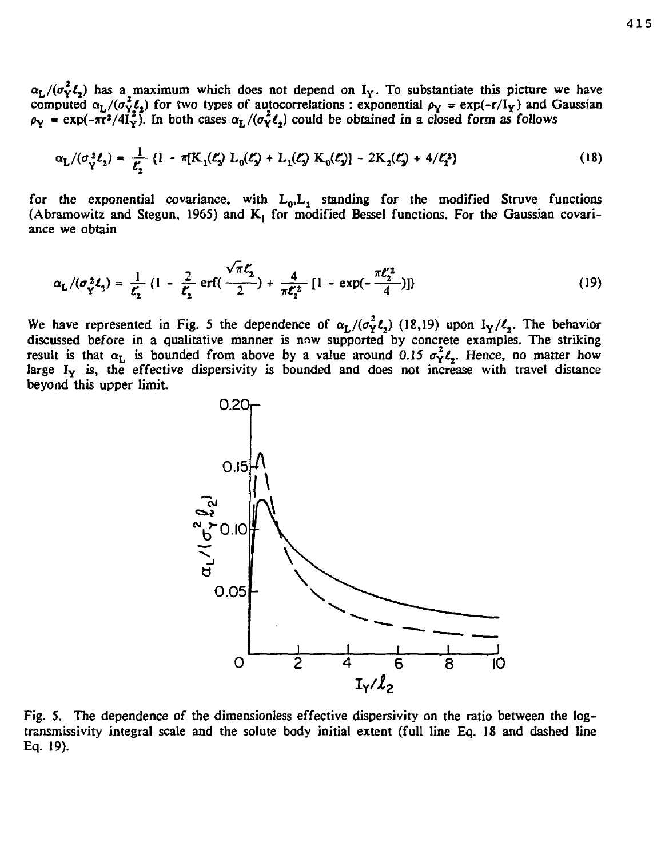$\alpha_L/(\sigma_Y^2 \ell_2)$  has a maximum which does not depend on  $I_Y$ . To substantiate this picture we have computed  $\alpha_L/(\sigma_{Y_1}^2 \ell_2)$  for two types of autocorrelations : exponential  $\rho_Y = \exp(-r/\text{I}_Y)$  and Gaussian  $\rho_Y$  = exp(- $\pi r^2/4I_Y^2$ ). In both cases  $\alpha_L/(\sigma_Y^2 \ell_2)$  could be obtained in a closed form as follows

$$
\alpha_{\rm L}/(\sigma_{\rm Y}^2 \ell_2) = \frac{1}{\ell_2} \left\{ 1 - \pi [K_1(\ell_2) L_0(\ell_2) + L_1(\ell_2) K_0(\ell_2)] - 2K_2(\ell_2) + 4/\ell_2^2 \right\} \tag{18}
$$

for the exponential covariance, with  $L_0, L_1$  standing for the modified Struve functions (Abramowitz and Stegun, 1965) and  $K_i$  for modified Bessel functions. For the Gaussian covariance we obtain

$$
\alpha_{\mathbf{L}}/(\sigma_{\mathbf{Y}}^{2}\ell_{2}) = \frac{1}{\ell_{2}^{2}} \left(1 - \frac{2}{\ell_{2}^{2}} \operatorname{erf}\left(\frac{\sqrt{\pi}\ell_{2}^{2}}{2}\right) + \frac{4}{\pi\ell_{2}^{2}} \left[1 - \exp\left(-\frac{\pi\ell_{2}^{2}}{4}\right)\right]\right)
$$
(19)

We have represented in Fig. 5 the dependence of  $\alpha_L/(\sigma_Y^2 \ell_z)$  (18,19) upon  $I_Y/\ell_z$ . The behavior discussed before in a qualitative manner is now supported by concrete examples. The striking result is that  $\alpha_L$  is bounded from above by a value around 0.15  $\sigma_Y^2 \ell_z$ . Hence, no matter how large  $I_Y$  is, the effective dispersivity is bounded and does not increase with travel distance beyond this upper limit.



Fig. 5. The dependence of the dimensionless effective dispersivity on the ratio between the logtransmissiviry integral scale and the solute body initial extent (full line Eq. 18 and dashed line Eq. 19).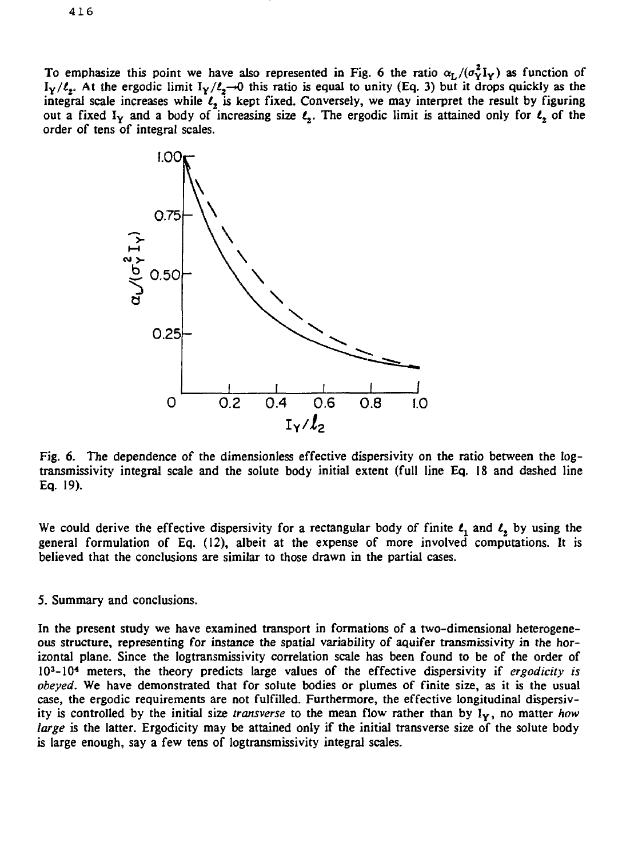To emphasize this point we have also represented in Fig. 6 the ratio  $\alpha_L/(\sigma_v^2I_v)$  as function of  $I_Y/\ell_z$ . At the ergodic limit  $I_Y/\ell_z \rightarrow 0$  this ratio is equal to unity (Eq. 3) but it drops quickly as the integral scale increases while *l<sup>t</sup>* is kept fixed. Conversely, we may interpret the result by figuring out a fixed I<sub>Y</sub> and a body of increasing size  $\ell_2$ . The ergodic limit is attained only for  $\ell_2$  of the order of tens of integral scales.



Fig. 6. The dependence of the dimensionless effective dispersivity on the ratio between the logtransmissivity integral scale and the solute body initial extent (full line Eq. 18 and dashed line Eq. 19).

We could derive the effective dispersivity for a rectangular body of finite  $l_1$  and  $l_2$  by using the general formulation of Eq. (12), albeit at the expense of more involved computations. It is believed that the conclusions are similar to those drawn in the partial cases.

### 5. Summary and conclusions.

In the present study we have examined transport in formations of a two-dimensional heterogeneous structure, representing for instance the spatial variability *of* aquifer transmissivity in the horizontal plane. Since the logtransmissivity correlation scale has been found to be of the order of 10<sup>3</sup> -10<sup>4</sup> meters, the theory predicts large values of the effective dispersivity if *ergodicity is obeyed.* We have demonstrated that for solute bodies or plumes of finite size, as it is the usual case, the ergodic requirements are not fulfilled. Furthermore, the effective longitudinal dispersivity is controlled by the initial size *transverse* to the mean flow rather than by IY, no matter *how large* is the latter. Ergodicity may be attained only if the initial transverse size of the solute body is large enough, say a few tens of logtransmissivity integral scales.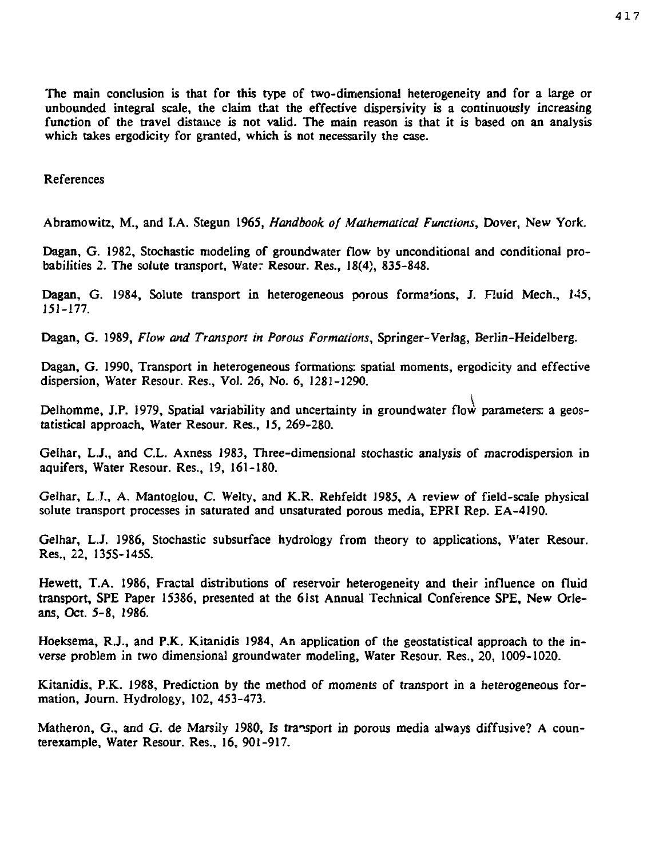The main conclusion is that for this type of two-dimensional heterogeneity and for a large or unbounded integral scale, the claim that the effective dispersivity is a continuously increasing function of the travel distance is not valid. The main reason is that it is based on an analysis which takes ergodicity for granted, which is not necessarily the case.

References

Abramowitz, M., and LA. Stegun 1965, *Handbook of Mathematical Functions,* Dover, New York.

Dagan, G. 1982, Stochastic modeling of groundwater flow by unconditional and conditional probabilities 2. The solute transport, Water Resour. Res., 18(4), 835-848.

Dagan, G. 1984, Solute transport in heterogeneous porous formations, J. Huid Mech., 145, 151-177.

Dagan, G. 1989, *Flow and Transport in Porous Formations,* Springer-Verlag, Berlin-Heidelberg.

Dagan, G. 1990, Transport in heterogeneous formations: spatial moments, ergodicity and effective dispersion, Water Resour. Res., Vol. 26, No. 6, 1281-1290.

Delhomme, J.P. 1979, Spatial variability and uncertainty in groundwater flow parameters: a geostatistical approach. Water Resour. Res., 15, 269-280.

Gelhar, L.J., and C.L. Axness 1983, Three-dimensional stochastic analysis of macrodispersion in aquifers, Water Resour. Res., 19, 161-180.

Gelhar, L J., A. Mantoglou, C. Welry, and K.R. Rehfeldt J985, A review of field-scale physical solute transport processes in saturated and unsaturated porous media, EPRI Rep. EA-4190.

Gelhar, L.J. 1986, Stochastic subsurface hydrology from theory to applications, Water Resour. Res., 22, 135S-145S.

Hewett, T.A. 1986, Fractal distributions of reservoir heterogeneity and their influence on fluid transport, SPE Paper 15386, presented at the 61st Annual Technical Conference SPE, New Orleans, Oct. 5-8, 1986.

Hoeksema, R.J., and P.K. Kitanidis 1984, An application of the geostatistical approach to the inverse problem in two dimensional groundwater modeling, Water Resour. Res., 20, 1009-1020.

Kitanidis, P.K. 1988, Prediction by the method of moments of transport in a heterogeneous formation, Journ. Hydrology, 102, 453-473.

Matheron, G., and G. de Marsily 1980, Is transport in porous media always diffusive? A counterexample, Water Resour. Res., 16, 901-917.